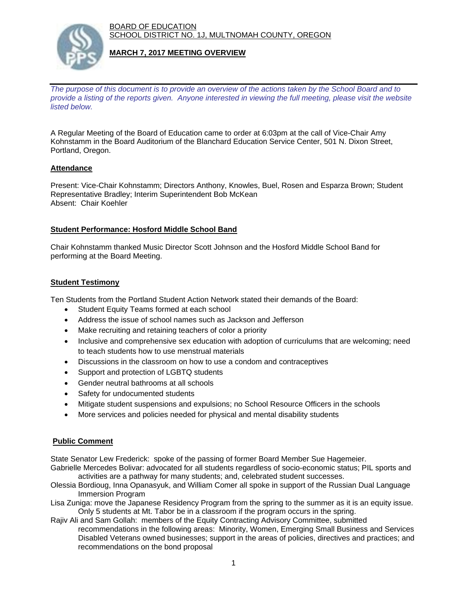BOARD OF EDUCATION SCHOOL DISTRICT NO. 1J, MULTNOMAH COUNTY, OREGON



#### **MARCH 7, 2017 MEETING OVERVIEW**

*The purpose of this document is to provide an overview of the actions taken by the School Board and to provide a listing of the reports given. Anyone interested in viewing the full meeting, please visit the website listed below.*

A Regular Meeting of the Board of Education came to order at 6:03pm at the call of Vice-Chair Amy Kohnstamm in the Board Auditorium of the Blanchard Education Service Center, 501 N. Dixon Street, Portland, Oregon.

## **Attendance**

Present: Vice-Chair Kohnstamm; Directors Anthony, Knowles, Buel, Rosen and Esparza Brown; Student Representative Bradley; Interim Superintendent Bob McKean Absent: Chair Koehler

## **Student Performance: Hosford Middle School Band**

Chair Kohnstamm thanked Music Director Scott Johnson and the Hosford Middle School Band for performing at the Board Meeting.

#### **Student Testimony**

Ten Students from the Portland Student Action Network stated their demands of the Board:

- Student Equity Teams formed at each school
- Address the issue of school names such as Jackson and Jefferson
- Make recruiting and retaining teachers of color a priority
- Inclusive and comprehensive sex education with adoption of curriculums that are welcoming; need to teach students how to use menstrual materials
- Discussions in the classroom on how to use a condom and contraceptives
- Support and protection of LGBTQ students
- Gender neutral bathrooms at all schools
- Safety for undocumented students
- Mitigate student suspensions and expulsions; no School Resource Officers in the schools
- More services and policies needed for physical and mental disability students

# **Public Comment**

State Senator Lew Frederick: spoke of the passing of former Board Member Sue Hagemeier.

Gabrielle Mercedes Bolivar: advocated for all students regardless of socio-economic status; PIL sports and activities are a pathway for many students; and, celebrated student successes.

- Olessia Bordioug, Inna Opanasyuk, and William Comer all spoke in support of the Russian Dual Language Immersion Program
- Lisa Zuniga: move the Japanese Residency Program from the spring to the summer as it is an equity issue. Only 5 students at Mt. Tabor be in a classroom if the program occurs in the spring.
- Rajiv Ali and Sam Gollah: members of the Equity Contracting Advisory Committee, submitted recommendations in the following areas: Minority, Women, Emerging Small Business and Services Disabled Veterans owned businesses; support in the areas of policies, directives and practices; and recommendations on the bond proposal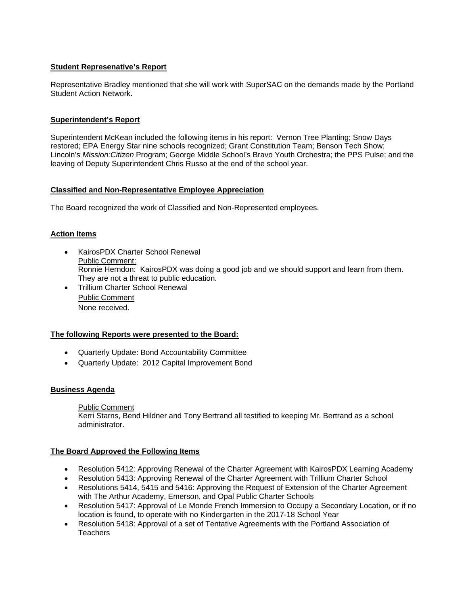#### **Student Represenative's Report**

Representative Bradley mentioned that she will work with SuperSAC on the demands made by the Portland Student Action Network.

#### **Superintendent's Report**

Superintendent McKean included the following items in his report: Vernon Tree Planting; Snow Days restored; EPA Energy Star nine schools recognized; Grant Constitution Team; Benson Tech Show; Lincoln's *Mission:Citizen* Program; George Middle School's Bravo Youth Orchestra; the PPS Pulse; and the leaving of Deputy Superintendent Chris Russo at the end of the school year.

#### **Classified and Non-Representative Employee Appreciation**

The Board recognized the work of Classified and Non-Represented employees.

## **Action Items**

- KairosPDX Charter School Renewal Public Comment: Ronnie Herndon: KairosPDX was doing a good job and we should support and learn from them. They are not a threat to public education.
- Trillium Charter School Renewal Public Comment None received.

#### **The following Reports were presented to the Board:**

- Quarterly Update: Bond Accountability Committee
- Quarterly Update: 2012 Capital Improvement Bond

# **Business Agenda**

#### Public Comment

 Kerri Starns, Bend Hildner and Tony Bertrand all testified to keeping Mr. Bertrand as a school administrator.

#### **The Board Approved the Following Items**

- Resolution 5412: Approving Renewal of the Charter Agreement with KairosPDX Learning Academy
- Resolution 5413: Approving Renewal of the Charter Agreement with Trillium Charter School
- Resolutions 5414, 5415 and 5416: Approving the Request of Extension of the Charter Agreement with The Arthur Academy, Emerson, and Opal Public Charter Schools
- Resolution 5417: Approval of Le Monde French Immersion to Occupy a Secondary Location, or if no location is found, to operate with no Kindergarten in the 2017-18 School Year
- Resolution 5418: Approval of a set of Tentative Agreements with the Portland Association of **Teachers**